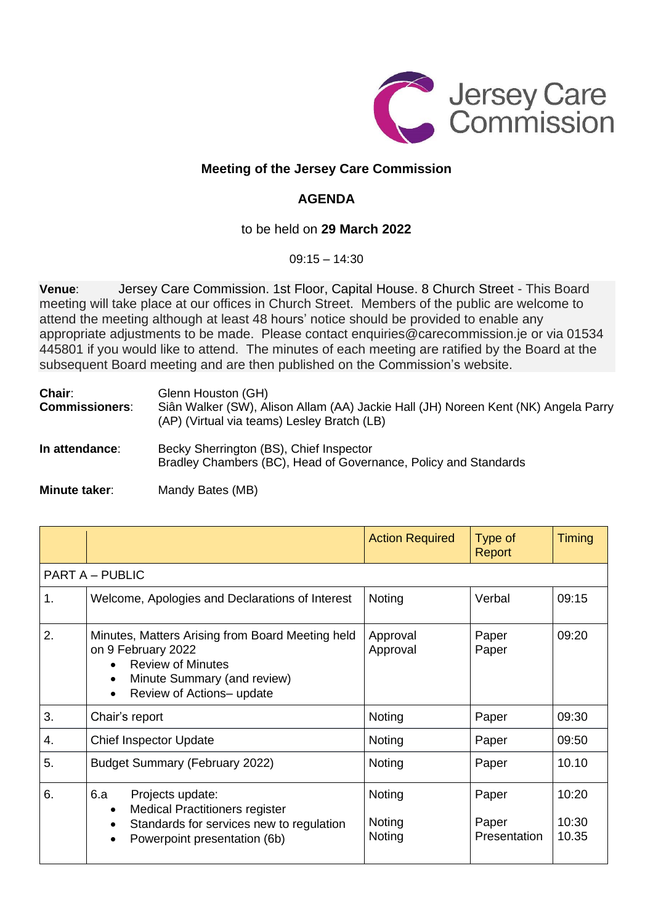

## **Meeting of the Jersey Care Commission**

## **AGENDA**

## to be held on **29 March 2022**

09:15 – 14:30

**Venue**: Jersey Care Commission. 1st Floor, Capital House. 8 Church Street - This Board meeting will take place at our offices in Church Street. Members of the public are welcome to attend the meeting although at least 48 hours' notice should be provided to enable any appropriate adjustments to be made. Please contact [enquiries@carecommission.je](mailto:enquiries@carecommission.je) or via [01534](https://www.google.com/search?q=care+commission+jersey+email&safe=active&ei=8sAwYqyYCcvwaNPnstgL&ved=0ahUKEwis2fvgxsj2AhVLOBoKHdOzDLsQ4dUDCA4&uact=5&oq=care+commission+jersey+email&gs_lcp=Cgdnd3Mtd2l6EAMyBQghEKABOgcIABBHELADOgYIABAWEB46CAghEBYQHRAeOgcIIRAKEKABSgQIQRgASgQIRhgAUL4CWOUHYJgKaAFwAXgAgAFsiAGPBJIBAzQuMpgBAKABAcgBBMABAQ&sclient=gws-wiz) [445801](https://www.google.com/search?q=care+commission+jersey+email&safe=active&ei=8sAwYqyYCcvwaNPnstgL&ved=0ahUKEwis2fvgxsj2AhVLOBoKHdOzDLsQ4dUDCA4&uact=5&oq=care+commission+jersey+email&gs_lcp=Cgdnd3Mtd2l6EAMyBQghEKABOgcIABBHELADOgYIABAWEB46CAghEBYQHRAeOgcIIRAKEKABSgQIQRgASgQIRhgAUL4CWOUHYJgKaAFwAXgAgAFsiAGPBJIBAzQuMpgBAKABAcgBBMABAQ&sclient=gws-wiz) if you would like to attend. The minutes of each meeting are ratified by the Board at the subsequent Board meeting and are then published on the Commission's website.

| Chair:<br><b>Commissioners:</b> | Glenn Houston (GH)<br>Siân Walker (SW), Alison Allam (AA) Jackie Hall (JH) Noreen Kent (NK) Angela Parry<br>(AP) (Virtual via teams) Lesley Bratch (LB) |  |  |
|---------------------------------|---------------------------------------------------------------------------------------------------------------------------------------------------------|--|--|
| In attendance:                  | Becky Sherrington (BS), Chief Inspector<br>Bradley Chambers (BC), Head of Governance, Policy and Standards                                              |  |  |
|                                 |                                                                                                                                                         |  |  |

| Minute taker: | Mandy Bates (MB) |
|---------------|------------------|
|---------------|------------------|

|                        |                                                                                                                                                                | <b>Action Required</b>     | Type of<br>Report              | Timing                  |  |  |
|------------------------|----------------------------------------------------------------------------------------------------------------------------------------------------------------|----------------------------|--------------------------------|-------------------------|--|--|
| <b>PART A - PUBLIC</b> |                                                                                                                                                                |                            |                                |                         |  |  |
| 1.                     | Welcome, Apologies and Declarations of Interest                                                                                                                | Noting                     | Verbal                         | 09:15                   |  |  |
| 2.                     | Minutes, Matters Arising from Board Meeting held<br>on 9 February 2022<br><b>Review of Minutes</b><br>Minute Summary (and review)<br>Review of Actions- update | Approval<br>Approval       | Paper<br>Paper                 | 09:20                   |  |  |
| 3.                     | Chair's report                                                                                                                                                 | Noting                     | Paper                          | 09:30                   |  |  |
| 4.                     | <b>Chief Inspector Update</b>                                                                                                                                  | Noting                     | Paper                          | 09:50                   |  |  |
| 5.                     | <b>Budget Summary (February 2022)</b>                                                                                                                          | Noting                     | Paper                          | 10.10                   |  |  |
| 6.                     | 6.a<br>Projects update:<br><b>Medical Practitioners register</b><br>Standards for services new to regulation<br>Powerpoint presentation (6b)                   | Noting<br>Noting<br>Noting | Paper<br>Paper<br>Presentation | 10:20<br>10:30<br>10.35 |  |  |